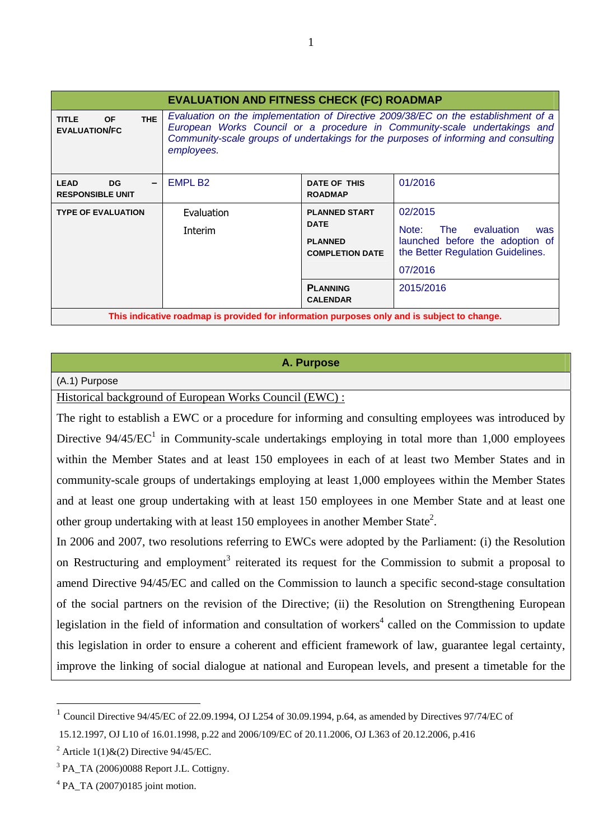| <b>EVALUATION AND FITNESS CHECK (FC) ROADMAP</b>                                            |                                                                                                                                                                                                                                                                      |                                                                                                                       |                                                                                                                                              |
|---------------------------------------------------------------------------------------------|----------------------------------------------------------------------------------------------------------------------------------------------------------------------------------------------------------------------------------------------------------------------|-----------------------------------------------------------------------------------------------------------------------|----------------------------------------------------------------------------------------------------------------------------------------------|
| THE<br><b>OF</b><br><b>TITLE</b><br><b>EVALUATION/FC</b>                                    | Evaluation on the implementation of Directive 2009/38/EC on the establishment of a<br>European Works Council or a procedure in Community-scale undertakings and<br>Community-scale groups of undertakings for the purposes of informing and consulting<br>employees. |                                                                                                                       |                                                                                                                                              |
| <b>LEAD</b><br>DG.<br><b>RESPONSIBLE UNIT</b>                                               | EMPL B <sub>2</sub>                                                                                                                                                                                                                                                  | DATE OF THIS<br><b>ROADMAP</b>                                                                                        | 01/2016                                                                                                                                      |
| <b>TYPE OF EVALUATION</b>                                                                   | Evaluation<br>Interim                                                                                                                                                                                                                                                | <b>PLANNED START</b><br><b>DATE</b><br><b>PLANNED</b><br><b>COMPLETION DATE</b><br><b>PLANNING</b><br><b>CALENDAR</b> | 02/2015<br>evaluation<br>Note:<br>The<br>was<br>launched before the adoption of<br>the Better Regulation Guidelines.<br>07/2016<br>2015/2016 |
| This indicative roadmap is provided for information purposes only and is subject to change. |                                                                                                                                                                                                                                                                      |                                                                                                                       |                                                                                                                                              |

#### **A. Purpose**

#### (A.1) Purpose

Historical background of European Works Council (EWC) :

The right to establish a EWC or a procedure for informing and consulting employees was introduced by Directive  $94/45/EC^1$  in Community-scale undertakings employing in total more than 1,000 employees within the Member States and at least 150 employees in each of at least two Member States and in community-scale groups of undertakings employing at least 1,000 employees within the Member States and at least one group undertaking with at least 150 employees in one Member State and at least one other group undertaking with at least 150 employees in another Member State<sup>2</sup>.

In 2006 and 2007, two resolutions referring to EWCs were adopted by the Parliament: (i) the Resolution on Restructuring and employment<sup>3</sup> reiterated its request for the Commission to submit a proposal to amend Directive 94/45/EC and called on the Commission to launch a specific second-stage consultation of the social partners on the revision of the Directive; (ii) the Resolution on Strengthening European legislation in the field of information and consultation of workers<sup>4</sup> called on the Commission to update this legislation in order to ensure a coherent and efficient framework of law, guarantee legal certainty, improve the linking of social dialogue at national and European levels, and present a timetable for the

 $\overline{a}$ 

<sup>1</sup> Council Directive 94/45/EC of 22.09.1994, OJ L254 of 30.09.1994, p.64, as amended by Directives 97/74/EC of

 <sup>15.12.1997,</sup> OJ L10 of 16.01.1998, p.22 and 2006/109/EC of 20.11.2006, OJ L363 of 20.12.2006, p.416

<sup>&</sup>lt;sup>2</sup> Article 1(1) & (2) Directive 94/45/EC.

 $3$  PA\_TA (2006)0088 Report J.L. Cottigny.

 $4$  PA\_TA (2007)0185 joint motion.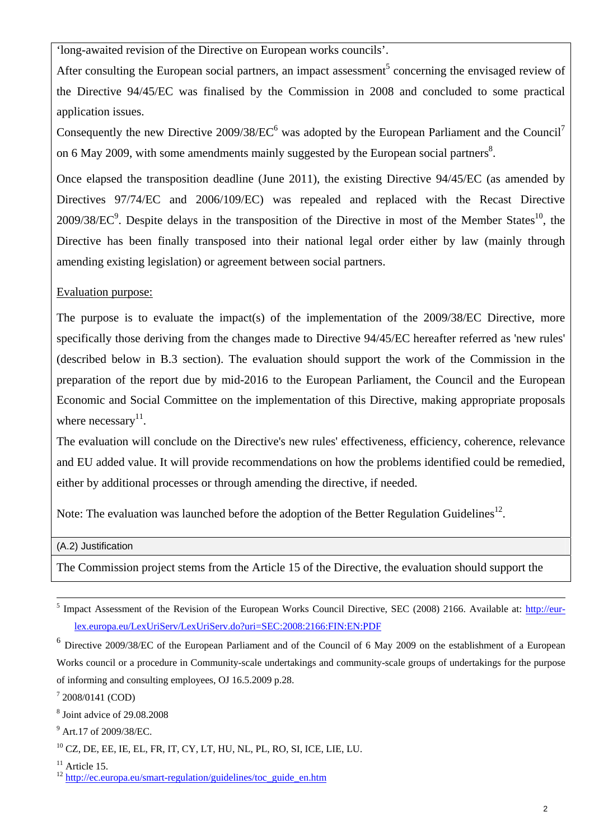'long-awaited revision of the Directive on European works councils'.

After consulting the European social partners, an impact assessment<sup>5</sup> concerning the envisaged review of the Directive 94/45/EC was finalised by the Commission in 2008 and concluded to some practical application issues.

Consequently the new Directive  $2009/38/EC^6$  was adopted by the European Parliament and the Council<sup>7</sup> on 6 May 2009, with some amendments mainly suggested by the European social partners<sup>8</sup>.

Once elapsed the transposition deadline (June 2011), the existing Directive 94/45/EC (as amended by Directives 97/74/EC and 2006/109/EC) was repealed and replaced with the Recast Directive  $2009/38/EC^9$ . Despite delays in the transposition of the Directive in most of the Member States<sup>10</sup>, the Directive has been finally transposed into their national legal order either by law (mainly through amending existing legislation) or agreement between social partners.

### Evaluation purpose:

The purpose is to evaluate the impact(s) of the implementation of the 2009/38/EC Directive, more specifically those deriving from the changes made to Directive 94/45/EC hereafter referred as 'new rules' (described below in B.3 section). The evaluation should support the work of the Commission in the preparation of the report due by mid-2016 to the European Parliament, the Council and the European Economic and Social Committee on the implementation of this Directive, making appropriate proposals where necessary $^{11}$ .

The evaluation will conclude on the Directive's new rules' effectiveness, efficiency, coherence, relevance and EU added value. It will provide recommendations on how the problems identified could be remedied, either by additional processes or through amending the directive, if needed.

Note: The evaluation was launched before the adoption of the Better Regulation Guidelines<sup>12</sup>.

(A.2) Justification

The Commission project stems from the Article 15 of the Directive, the evaluation should support the

 <sup>5</sup> <sup>5</sup> Impact Assessment of the Revision of the European Works Council Directive, SEC (2008) 2166. Available at: http://eur[lex.europa.eu/LexUriServ/LexUriServ.do?uri=SEC:2008:2166:FIN:EN:PDF](http://eur-lex.europa.eu/LexUriServ/LexUriServ.do?uri=SEC:2008:2166:FIN:EN:PDF)

<sup>6</sup> Directive 2009/38/EC of the European Parliament and of the Council of 6 May 2009 on the establishment of a European Works council or a procedure in Community-scale undertakings and community-scale groups of undertakings for the purpose of informing and consulting employees, OJ 16.5.2009 p.28.

<sup>7</sup> 2008/0141 (COD)

<sup>8</sup> Joint advice of 29.08.2008

<sup>&</sup>lt;sup>9</sup> Art.17 of 2009/38/EC.

 $10$  CZ, DE, EE, IE, EL, FR, IT, CY, LT, HU, NL, PL, RO, SI, ICE, LIE, LU.

 $11$  Article 15.

<sup>&</sup>lt;sup>12</sup> http://ec.europa.eu/smart-regulation/guidelines/toc\_guide\_en.htm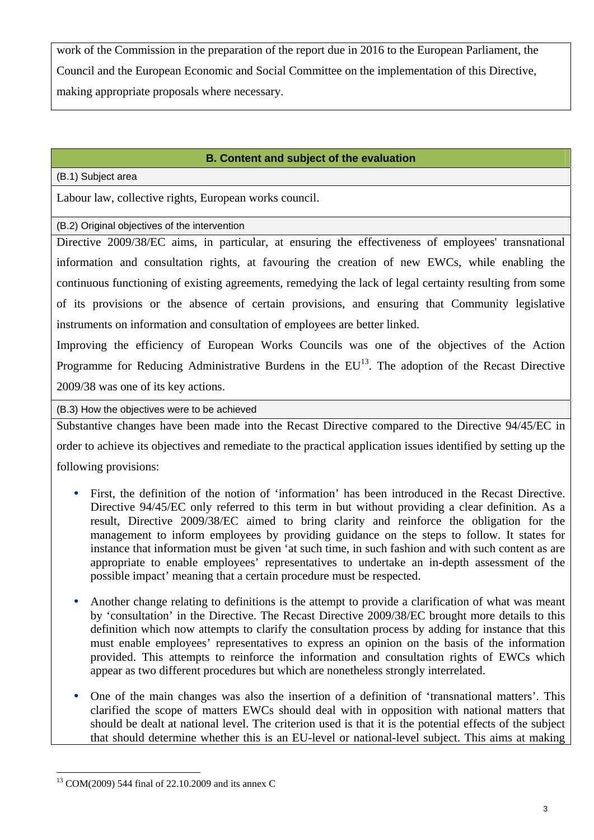work of the Commission in the preparation of the report due in 2016 to the European Parliament, the Council and the European Economic and Social Committee on the implementation of this Directive, making appropriate proposals where necessary.

#### **B. Content and subject of the evaluation**

(B.1) Subject area

Labour law, collective rights, European works council.

(B.2) Original objectives of the intervention

Directive 2009/38/EC aims, in particular, at ensuring the effectiveness of employees' transnational information and consultation rights, at favouring the creation of new EWCs, while enabling the continuous functioning of existing agreements, remedying the lack of legal certainty resulting from some of its provisions or the absence of certain provisions, and ensuring that Community legislative instruments on information and consultation of employees are better linked.

Improving the efficiency of European Works Councils was one of the objectives of the Action Programme for Reducing Administrative Burdens in the  $EU^{13}$ . The adoption of the Recast Directive 2009/38 was one of its key actions.

(B.3) How the objectives were to be achieved

Substantive changes have been made into the Recast Directive compared to the Directive 94/45/EC in order to achieve its objectives and remediate to the practical application issues identified by setting up the following provisions:

- y First, the definition of the notion of 'information' has been introduced in the Recast Directive. Directive 94/45/EC only referred to this term in but without providing a clear definition. As a result, Directive 2009/38/EC aimed to bring clarity and reinforce the obligation for the management to inform employees by providing guidance on the steps to follow. It states for instance that information must be given 'at such time, in such fashion and with such content as are appropriate to enable employees' representatives to undertake an in-depth assessment of the possible impact' meaning that a certain procedure must be respected.
- Another change relating to definitions is the attempt to provide a clarification of what was meant by 'consultation' in the Directive. The Recast Directive 2009/38/EC brought more details to this definition which now attempts to clarify the consultation process by adding for instance that this must enable employees' representatives to express an opinion on the basis of the information provided. This attempts to reinforce the information and consultation rights of EWCs which appear as two different procedures but which are nonetheless strongly interrelated.
- y One of the main changes was also the insertion of a definition of 'transnational matters'. This clarified the scope of matters EWCs should deal with in opposition with national matters that should be dealt at national level. The criterion used is that it is the potential effects of the subject that should determine whether this is an EU-level or national-level subject. This aims at making

 $\overline{a}$ 

<sup>13</sup> COM(2009) 544 final of 22.10.2009 and its annex C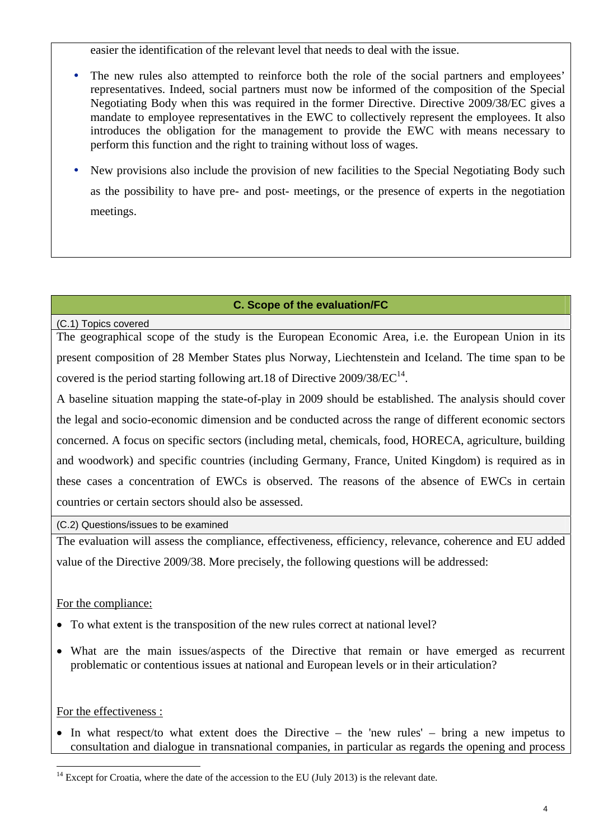easier the identification of the relevant level that needs to deal with the issue.

- The new rules also attempted to reinforce both the role of the social partners and employees' representatives. Indeed, social partners must now be informed of the composition of the Special Negotiating Body when this was required in the former Directive. Directive 2009/38/EC gives a mandate to employee representatives in the EWC to collectively represent the employees. It also introduces the obligation for the management to provide the EWC with means necessary to perform this function and the right to training without loss of wages.
- y New provisions also include the provision of new facilities to the Special Negotiating Body such as the possibility to have pre- and post- meetings, or the presence of experts in the negotiation meetings.

## **C. Scope of the evaluation/FC**

(C.1) Topics covered

The geographical scope of the study is the European Economic Area, i.e. the European Union in its present composition of 28 Member States plus Norway, Liechtenstein and Iceland. The time span to be covered is the period starting following art.18 of Directive  $2009/38/EC^{14}$ .

A baseline situation mapping the state-of-play in 2009 should be established. The analysis should cover the legal and socio-economic dimension and be conducted across the range of different economic sectors concerned. A focus on specific sectors (including metal, chemicals, food, HORECA, agriculture, building and woodwork) and specific countries (including Germany, France, United Kingdom) is required as in these cases a concentration of EWCs is observed. The reasons of the absence of EWCs in certain countries or certain sectors should also be assessed.

(C.2) Questions/issues to be examined

The evaluation will assess the compliance, effectiveness, efficiency, relevance, coherence and EU added value of the Directive 2009/38. More precisely, the following questions will be addressed:

# For the compliance:

- To what extent is the transposition of the new rules correct at national level?
- What are the main issues/aspects of the Directive that remain or have emerged as recurrent problematic or contentious issues at national and European levels or in their articulation?

For the effectiveness :

 $\overline{a}$ 

• In what respect/to what extent does the Directive – the 'new rules' – bring a new impetus to consultation and dialogue in transnational companies, in particular as regards the opening and process

 $14$  Except for Croatia, where the date of the accession to the EU (July 2013) is the relevant date.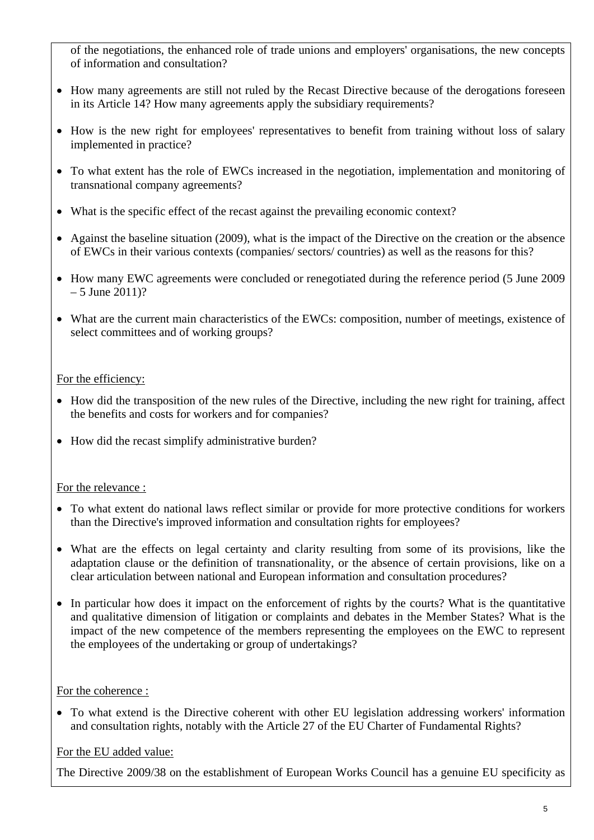of the negotiations, the enhanced role of trade unions and employers' organisations, the new concepts of information and consultation?

- How many agreements are still not ruled by the Recast Directive because of the derogations foreseen in its Article 14? How many agreements apply the subsidiary requirements?
- How is the new right for employees' representatives to benefit from training without loss of salary implemented in practice?
- To what extent has the role of EWCs increased in the negotiation, implementation and monitoring of transnational company agreements?
- What is the specific effect of the recast against the prevailing economic context?
- Against the baseline situation (2009), what is the impact of the Directive on the creation or the absence of EWCs in their various contexts (companies/ sectors/ countries) as well as the reasons for this?
- How many EWC agreements were concluded or renegotiated during the reference period (5 June 2009)  $-5$  June 2011)?
- What are the current main characteristics of the EWCs: composition, number of meetings, existence of select committees and of working groups?

## For the efficiency:

- How did the transposition of the new rules of the Directive, including the new right for training, affect the benefits and costs for workers and for companies?
- How did the recast simplify administrative burden?

## For the relevance :

- To what extent do national laws reflect similar or provide for more protective conditions for workers than the Directive's improved information and consultation rights for employees?
- What are the effects on legal certainty and clarity resulting from some of its provisions, like the adaptation clause or the definition of transnationality, or the absence of certain provisions, like on a clear articulation between national and European information and consultation procedures?
- In particular how does it impact on the enforcement of rights by the courts? What is the quantitative and qualitative dimension of litigation or complaints and debates in the Member States? What is the impact of the new competence of the members representing the employees on the EWC to represent the employees of the undertaking or group of undertakings?

## For the coherence :

• To what extend is the Directive coherent with other EU legislation addressing workers' information and consultation rights, notably with the Article 27 of the EU Charter of Fundamental Rights?

# For the EU added value:

The Directive 2009/38 on the establishment of European Works Council has a genuine EU specificity as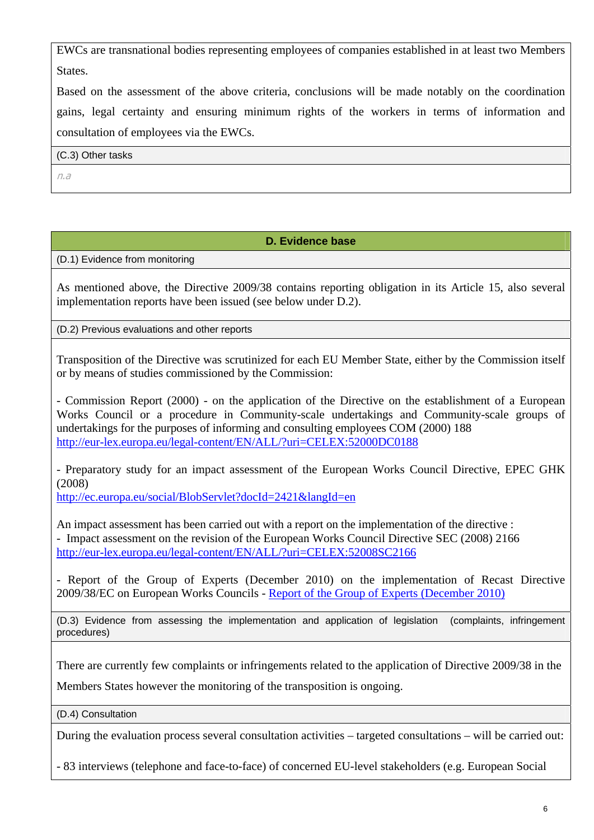EWCs are transnational bodies representing employees of companies established in at least two Members States.

Based on the assessment of the above criteria, conclusions will be made notably on the coordination gains, legal certainty and ensuring minimum rights of the workers in terms of information and consultation of employees via the EWCs.

(C.3) Other tasks

n.a

### **D. Evidence base**

(D.1) Evidence from monitoring

As mentioned above, the Directive 2009/38 contains reporting obligation in its Article 15, also several implementation reports have been issued (see below under D.2).

(D.2) Previous evaluations and other reports

Transposition of the Directive was scrutinized for each EU Member State, either by the Commission itself or by means of studies commissioned by the Commission:

- [Commission Report \(2000\) - on the application of the Directive on the establishment of a European](http://eur-lex.europa.eu/LexUriServ/LexUriServ.do?uri=CELEX:52000DC0188:EN:NOT)  [Works Council or a procedure in Community-scale undertakings and Community-scale groups of](http://eur-lex.europa.eu/LexUriServ/LexUriServ.do?uri=CELEX:52000DC0188:EN:NOT)  [undertakings for the purposes of informing and consulting employees COM \(2000\) 188](http://eur-lex.europa.eu/LexUriServ/LexUriServ.do?uri=CELEX:52000DC0188:EN:NOT)  <http://eur-lex.europa.eu/legal-content/EN/ALL/?uri=CELEX:52000DC0188>

- Preparatory study for an impact assessment of the European Works Council Directive, EPEC GHK (2008)

<http://ec.europa.eu/social/BlobServlet?docId=2421&langId=en>

An impact assessment has been carried out with a report on the implementation of the directive : - [Impact assessment on the revision of the European Works Council Directive SEC \(2008\) 2166](http://eur-lex.europa.eu/LexUriServ/LexUriServ.do?uri=CELEX:52008SC2166:EN:NOT)  <http://eur-lex.europa.eu/legal-content/EN/ALL/?uri=CELEX:52008SC2166>

- Report of the Group of Experts (December 2010) on the implementation of Recast Directive 2009/38/EC on European Works Councils - [Report of the Group of Experts \(December 2010\)](http://ec.europa.eu/social/BlobServlet?docId=6436&langId=en)

(D.3) Evidence from assessing the implementation and application of legislation (complaints, infringement procedures)

There are currently few complaints or infringements related to the application of Directive 2009/38 in the

Members States however the monitoring of the transposition is ongoing.

(D.4) Consultation

During the evaluation process several consultation activities – targeted consultations – will be carried out:

- 83 interviews (telephone and face-to-face) of concerned EU-level stakeholders (e.g. European Social